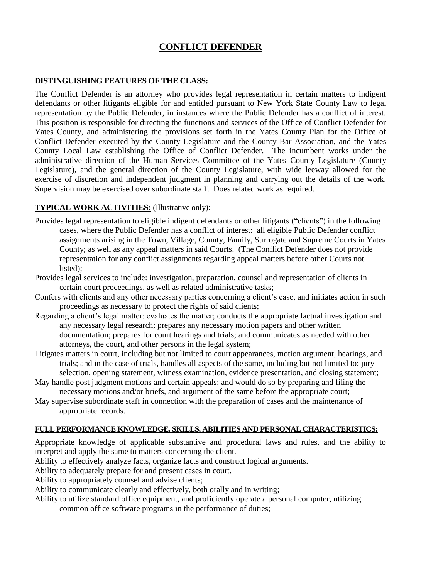# **CONFLICT DEFENDER**

# **DISTINGUISHING FEATURES OF THE CLASS:**

The Conflict Defender is an attorney who provides legal representation in certain matters to indigent defendants or other litigants eligible for and entitled pursuant to New York State County Law to legal representation by the Public Defender, in instances where the Public Defender has a conflict of interest. This position is responsible for directing the functions and services of the Office of Conflict Defender for Yates County, and administering the provisions set forth in the Yates County Plan for the Office of Conflict Defender executed by the County Legislature and the County Bar Association, and the Yates County Local Law establishing the Office of Conflict Defender. The incumbent works under the administrative direction of the Human Services Committee of the Yates County Legislature (County Legislature), and the general direction of the County Legislature, with wide leeway allowed for the exercise of discretion and independent judgment in planning and carrying out the details of the work. Supervision may be exercised over subordinate staff. Does related work as required.

# **TYPICAL WORK ACTIVITIES:** (Illustrative only):

- Provides legal representation to eligible indigent defendants or other litigants ("clients") in the following cases, where the Public Defender has a conflict of interest: all eligible Public Defender conflict assignments arising in the Town, Village, County, Family, Surrogate and Supreme Courts in Yates County; as well as any appeal matters in said Courts. (The Conflict Defender does not provide representation for any conflict assignments regarding appeal matters before other Courts not listed);
- Provides legal services to include: investigation, preparation, counsel and representation of clients in certain court proceedings, as well as related administrative tasks;
- Confers with clients and any other necessary parties concerning a client's case, and initiates action in such proceedings as necessary to protect the rights of said clients;
- Regarding a client's legal matter: evaluates the matter; conducts the appropriate factual investigation and any necessary legal research; prepares any necessary motion papers and other written documentation; prepares for court hearings and trials; and communicates as needed with other attorneys, the court, and other persons in the legal system;
- Litigates matters in court, including but not limited to court appearances, motion argument, hearings, and trials; and in the case of trials, handles all aspects of the same, including but not limited to: jury selection, opening statement, witness examination, evidence presentation, and closing statement;
- May handle post judgment motions and certain appeals; and would do so by preparing and filing the necessary motions and/or briefs, and argument of the same before the appropriate court;
- May supervise subordinate staff in connection with the preparation of cases and the maintenance of appropriate records.

### **FULL PERFORMANCE KNOWLEDGE, SKILLS, ABILITIES AND PERSONAL CHARACTERISTICS:**

Appropriate knowledge of applicable substantive and procedural laws and rules, and the ability to interpret and apply the same to matters concerning the client.

Ability to effectively analyze facts, organize facts and construct logical arguments.

Ability to adequately prepare for and present cases in court.

Ability to appropriately counsel and advise clients;

Ability to communicate clearly and effectively, both orally and in writing;

Ability to utilize standard office equipment, and proficiently operate a personal computer, utilizing

common office software programs in the performance of duties;